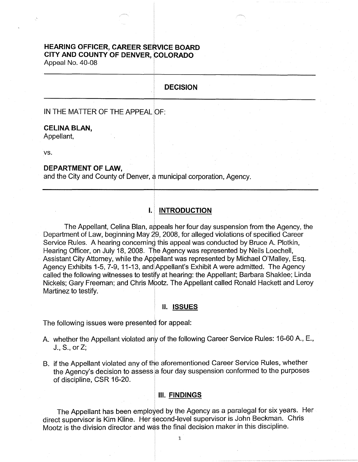# **HEARING OFFICER, CAREER SERVICE BOARD CITY AND COUNTY OF DENVER, COLORADO**

Appeal No. 40-08

# **DECISION**

IN THE MATTER OF THE APPEAL OF:

### **CELINA BLAN,**

Appellant,

vs.

# **DEPARTMENT OF LAW,**

and the City and County of Denyer, a municipal corporation, Agency.

# I. **INTRODUCTION**

The Appellant, Celina Blan, appeals her four day suspension from the Agency, the Department of Law, beginning May 29, 2008, for alleged violations of specified Career Service Rules. A hearing concerning this appeal was conducted by Bruce A. Plotkin, Hearing Officer, on July 18, 2008. The Agency was represented by Neils Loechell, Assistant City Attorney, while the Appellant was represented by Michael O'Malley, Esq. Agency Exhibits 1-5, 7-9, 11-13, and Appellant's Exhibit A were admitted. The Agency called the following witnesses to testify at hearing: the Appellant; Barbara Shaklee; Linda Nickels; Gary Freeman; and Chris Mootz. The Appellant called Ronald Hackett and Leroy Martinez to testify.

#### II. **ISSUES**

The following issues were presented for appeal:

- A. whether the Appellant violated any of the following Career Service Rules: 16-60 A., E., J., S., or Z;
- B. if the Appellant violated any of the aforementioned Career Service Rules, whether the Agency's decision to assess a four day suspension conformed to the purposes of discipline, CSR 16-20.

#### **Ill. FINDINGS**

The Appellant has been employed by the Agency as a paralegal for six years. Her direct supervisor is Kim Kline. Her second-level supervisor is John Beckman. Chris Mootz is the division director and was the final decision maker in this discipline.

1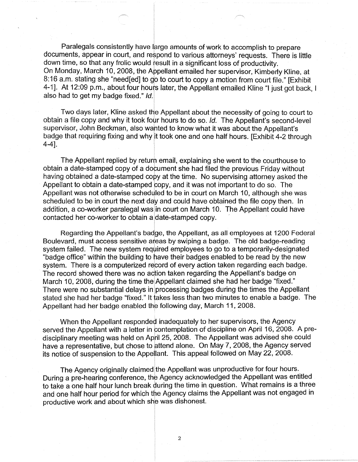Paralegals consistently have large amounts of work to accomplish to prepare documents, appear in court, and respond to various attorneys' requests. There is little down time, so that any frolic would result in a significant loss of productivity. On Monday, March 10, 2008, the Appellant emailed her supervisor, Kimberly Kline, at 8: 16 a.m. stating she "need[ed] to go to court to copy a motion from court file." [Exhibit 4-1]. At 12:09 p.m., about four hours later, the Appellant emailed Kline "I just got back, I also had to get my badge fixed." Id.

Two days later, Kline asked the Appellant about the necessity of going to court to obtain a file copy and why it took four hours to do so. Id. The Appellant's second-level supervisor, John Beckman, also wanted to know what it was about the Appellant's badge that requiring fixing and why it took one and one half hours. [Exhibit 4-2 through 4-4].

The Appellant replied by return email, explaining she went to the courthouse to obtain a date-stamped copy of a document she had filed the previous Friday without having obtained a date-stamped copy at the time. No supervising attorney asked the Appellant to obtain a date-stamped copy, and it was not important to do so. The Appellant was not otherwise scheduled to be in court on March 10, although she was scheduled to be in court the next day and could have obtained the file copy then. In addition, a co-worker paralegal was in court on March 10. The Appellant could have contacted her co-worker to obtain a date-stamped copy.

Regarding the Appellant's badge, the Appellant, as all employees at 1200 Federal Boulevard, must access sensitive areas by swiping a badge. The old badge-reading system failed. The new system reqwired employees to go to a temporarily-designated "badge office" within the building to have their badges enabled to be read by the new system. There is a computerized record of every action taken regarding each badge. The record showed there was no action taken regarding the Appellant's badge on March 10, 2008, during the time the Appellant claimed she had her badge "fixed." There were no substantial delays in processing badges during the times the Appellant stated she had her badge "fixed." It takes less than two minutes to enable a badge. The Appellant had her badge enabled the following day, March 11, 2008.

When the Appellant responded inadequately to her supervisors, the Agency served the Appellant with a letter in contemplation of discipline on April 16, 2008. A predisciplinary meeting was held on April 25, 2008. The Appellant was advised she could have a representative, but chose to attend alone. On May 7, 2008, the Agency served its notice of suspension to the Appellant. This appeal followed on May 22, 2008.

The Agency originally claimed the Appellant was unproductive for four hours. During a pre-hearing conference, the Agency acknowledged the Appellant was entitled to take a one half hour lunch break during the time in question. What remains is a three and one half hour period for which the Agency claims the Appellant was not engaged in productive work and about which she was dishonest.

2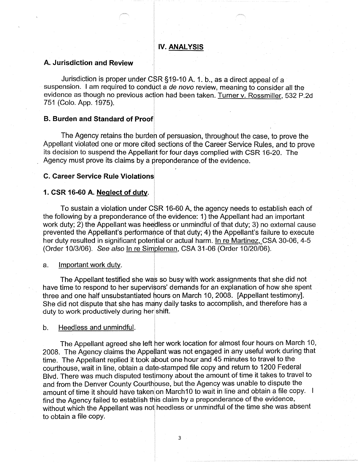# **IV. ANALYSIS**

#### **A. Jurisdiction and Review**

Jurisdiction is proper under CSR §19-10 A. 1. b., as a direct appeal of a suspension. I am required to conduct a de novo review, meaning to consider all the evidence as though no previous action had been taken. Turner v. Rossmiller, 532 P.2d 751 (Colo. App. 1975).

#### **B. Burden and Standard of Proof**

The Agency retains the burden of persuasion, throughout the case, to prove the Appellant violated one or more cited sections of the Career Service Rules, and to prove its decision to suspend the Appellant for four days complied with CSR 16-20. The Agency must prove its claims by a preponderance of the evidence.

### **C. Career Service Rule Violations**

# **1. CSR 16-60 A. Neglect of duty.**

To sustain a violation under CSR 16-60 A, the agency needs to establish each of the following by a preponderance of the evidence: 1) the Appellant had an important work duty; 2) the Appellant was heedless or unmindful of that duty; 3) no external cause prevented the Appellant's performance of that duty; 4) the Appellant's failure to execute her duty resulted in significant potential or actual harm. In re Martinez, CSA 30-06, 4-5 (Order 10/3/06). See also In re Simpleman, CSA 31-06 (Order 10/20/06).

#### a. Important work duty.

The Appellant testified she was so busy with work assignments that she did not have time to respond to her supervisors' demands for an explanation of how she spent three and one half unsubstantiated hours on March 10, 2008. [Appellant testimony]. She did not dispute that she has many daily tasks to accomplish, and therefore has a duty to work productively during her shift.

#### b. Heedless and unmindful.

The Appellant agreed she left her work location for almost four hours on March 10, 2008. The Agency claims the Appellant was not engaged in any useful work during that time. The Appellant replied it took about one hour and 45 minutes to travel to the courthouse, wait in line, obtain a date-stamped file copy and return to 1200 Federal Blvd. There was much disputed testimony about the amount of time it takes to travel to and from the Denver County Courthouse, but the Agency was unable to dispute the amount of time it should have taken on March 10 to wait in line and obtain a file copy. I find the Agency failed to establish this claim by a preponderance of the evidence, without which the Appellant was not heedless or unmindful of the time she was absent to obtain a file copy.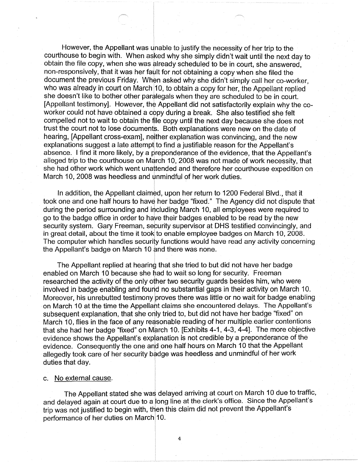However, the Appellant was unable to justify the necessity of her trip to the courthouse to begin with. When asked why she simply didn't wait until the next day to obtain the file copy, when she was already scheduled to be in court, she answered, non-responsively, that it was her fault for not obtaining a copy when she filed the document the previous Friday. When asked why she didn't simply call her co-worker, who was already in court on March 10, to obtain a copy for her, the Appellant replied she doesn't like to bother other paralegals when they are scheduled to be in court. [Appellant testimony]. However, the Appellant did not satisfactorily explain why the coworker could not have obtained a copy during a break. She also testified she felt compelled not to wait to obtain the file copy until the next day because she does not trust the court not to lose documents. Both explanations were new on the date of hearing, [Appellant cross-exam], neither explanation was convincing, and the new explanations suggest a late attempt to find a justifiable reason for the Appellant's absence. I find it more likely, by a preponderance of the evidence, that the Appellant's alleged trip to the courthouse on March 10, 2008 was not made of work necessity, that she had other work which went unattended and therefore her courthouse expedition on March 10, 2008 was heedless and unmindful of her work duties.

In addition, the Appellant claimed, upon her return to 1200 Federal Blvd., that it took one and one half hours to have her badge "fixed." The Agency did not dispute that during the period surrounding and including March 10, all employees were required to go to the badge office in order to have their badges enabled to be read by the new security system. Gary Freeman, security supervisor at DHS testified convincingly, and in great detail, about the time it tooki to enable employee badges on March 10, 2008. The computer which handles security functions would have read any activity concerning the Appellant's badge on March 10 and there was none.

The Appellant replied at hearing that she tried to but did not have her badge enabled on March 10 because she had to wait so long for security. Freeman researched the activity of the only other two security guards besides him, who were involved in badge enabling and found no substantial gaps in their activity on March 10. Moreover, his unrebutted testimony proves there was little or no wait for badge enabling on March 10 at the time the Appellant claims she encountered delays. The Appellant's subsequent explanation, that she only tried to, but did not have her badge "fixed" on March 10, flies in the face of any reasonable reading of her multiple earlier contentions that she had her badge "fixed" on March 10. [Exhibits 4-1, 4-3, 4-4]. The more objective evidence shows the Appellant's explanation is not credible by a preponderance of the evidence. Consequently the one and one half hours on March 10 that the Appellant allegedly took care of her security badge was heedless and unmindful of her work duties that day.

#### c. No external cause.

The Appellant stated she was delayed arriving at court on March 10 due to traffic, and delayed again at court due to a long line at the clerk's office. Since the Appellant's trip was not justified to begin with, then this claim did not prevent the Appellant's performance of her duties on March 10.

4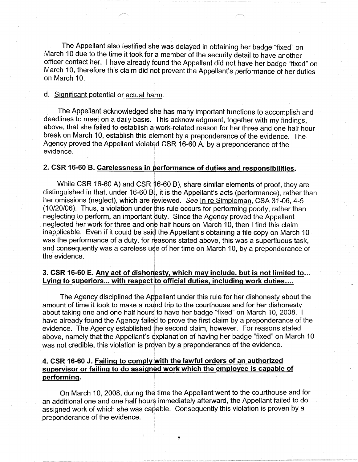The Appellant also testified she was delayed in obtaining her badge "fixed" on March 10 due to the time it took for a member of the security detail to have another officer contact her. I have already found the Appellant did not have her badge "fixed" on March 10, therefore this claim did not prevent the Appellant's performance of her duties on March 10.

# d. Significant potential or actual harm.

The Appellant acknowledged she has many important functions to accomplish and deadlines to meet on a daily basis. This acknowledgment, together with my findings, above, that she failed to establish a work-related reason for her three and one half hour break on March 10, establish this element by a preponderance of the evidence. The Agency proved the Appellant violated CSR 16-60 A. by a preponderance of the evidence.

# **2. CSR 16-60 B. Carelessness in performance of duties and responsibilities.**

While CSR 16-60 A) and CSR 16-60 B), share similar elements of proof, they are distinguished in that, under 16-60 B, it is the Appellant's acts (performance), rather than her omissions (neglect), which are reviewed. See In re Simpleman, CSA 31-06, 4-5 (10/20/06). Thus, a violation under this rule occurs for performing poorly, rather than neglecting to perform, an important duty. Since the Agency proved the Appellant neglected her work for three and one half hours on March 10, then I find this claim inapplicable. Even if it could be said the Appellant's obtaining a file copy on March 10 was the performance of a duty, for reasons stated above, this was a superfluous task, and consequently was a careless use of her time on March 10, by a preponderance of the evidence.

# **3. CSR 16-60 E. Any act of dishonesty, which may include, but is not limited to ...**  Lying to superiors... with respect to official duties, including work duties....

The Agency disciplined the Appellant under this rule for her dishonesty about the amount of time it took to make a rouhd trip to the courthouse and for her dishonesty about taking one and one half hours to have her badge "fixed" on March 10, 2008. I have already found the Agency failed to prove the first claim by a preponderance of the evidence. The Agency established the second claim, however. For reasons stated above, namely that the Appellant's explanation of having her badge "fixed" on March 10 was not credible, this violation is proven by a preponderance of the evidence.

# **4. CSR 16-60 J. Failing to comply with the lawful orders of an authorized supervisor or failing to do assigned work which the employee is capable of performing.**

On March 10, 2008, during the time the Appellant went to the courthouse and for an additional one and one half hours immediately afterward, the Appellant failed to do assigned work of which she was capable. Consequently this violation is proven by a preponderance of the evidence.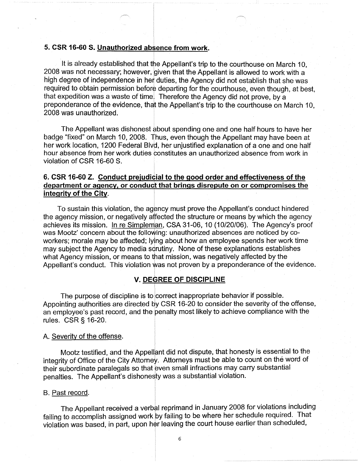#### **5. CSR 16-60 S. Unauthorized absence from work.**

It is already established that the Appellant's trip to the courthouse on March 10. 2008 was not necessary; however, given that the Appellant is allowed to work with a high degree of independence in her duties, the Agency did not establish that she was required to obtain permission before departing for the courthouse, even though, at best, that expedition was a waste of time. Therefore the Agency did not prove, by a preponderance of the evidence, that the Appellant's trip to the courthouse on March 10, 2008 was unauthorized.

The Appellant was dishonest about spending one and one half hours to have her badge "fixed" on March 10, 2008. Thus, even though the Appellant may have been at her work location, 1200 Federal Blvd, her unjustified explanation of a one and one half hour absence from her work duties constitutes an unauthorized absence from work in violation of CSR 16-60 S.

# **6. CSR 16-60 Z. Conduct prejudicial to the good order and effectiveness of the department or agency, or conduct that brings disrepute on or compromises the integrity of the City.**

To sustain this violation, the agency must prove the Appellant's conduct hindered the agency mission, or negatively affected the structure or means by which the agency achieves its mission. In re Simpleman, CSA 31-06, 10 (10/20/06). The Agency's proof was Mootz' concern about the following: unauthorized absences are noticed by coworkers; morale may be affected; lying about how an employee spends her work time may subject the Agency to media scrutiny. None of these explanations establishes what Agency mission, or means to that mission, was negatively affected by the Appellant's conduct. This violation was not proven by a preponderance of the evidence.

#### **V. DEGREE OF DISCIPLINE**

The purpose of discipline is to correct inappropriate behavior if possible. Appointing authorities are directed by CSR 16-20 to consider the severity of the offense, an employee's past record, and the penalty most likely to achieve compliance with the rules. CSR § 16-20.

### A. Severity of the offense.

Mootz testified, and the Appellant did not dispute, that honesty is essential to the integrity of Office of the City Attorney. Attorneys must be able to count on the word of their subordinate paralegals so that even small infractions may carry substantial penalties. The Appellant's dishonesty was a substantial violation.

#### 8. Past record.

The Appellant received a verbal reprimand in January 2008 for violations including failing to accomplish assigned work by failing to be where her schedule required. That violation was based, in part, upon her leaving the court house earlier than scheduled,